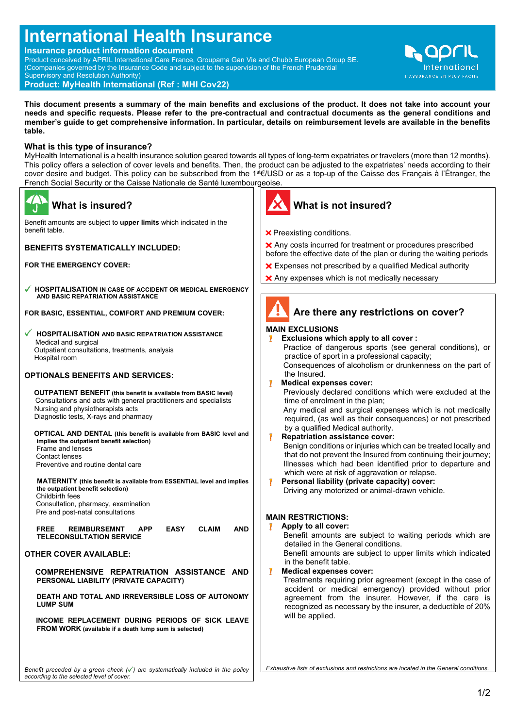# **International Health Insurance**

**Insurance product information document**

Product conceived by APRIL International Care France, Groupama Gan Vie and Chubb European Group SE. (Ccompanies governed by the Insurance Code and subject to the supervision of the French Prudential Supervisory and Resolution Authority) **Product: MyHealth International (Ref : MHI Cov22)** 

**This document presents a summary of the main benefits and exclusions of the product. It does not take into account your needs and specific requests. Please refer to the pre-contractual and contractual documents as the general conditions and member's guide to get comprehensive information. In particular, details on reimbursement levels are available in the benefits table.**

# **What is this type of insurance?**

MyHealth International is a health insurance solution geared towards all types of long-term expatriates or travelers (more than 12 months). This policy offers a selection of cover levels and benefits. Then, the product can be adjusted to the expatriates' needs according to their cover desire and budget. This policy can be subscribed from the 1<sup>st</sup>€/USD or as a top-up of the Caisse des Français à l'Étranger, the French Social Security or the Caisse Nationale de Santé luxembourgeoise.

| <b>What is insured?</b>                                                                                                                                                                                                                                                                                                                                                                                                                                                                                                                                                                                                                                                                                                                                                                                                                                                                                                                                                                                                                                                                                                                                                                                                                           |                  | What is not insured?                                                                                                                                                                                                                                                                                                                                                                                                                                                                                                                                                                                                                                                                                                                                                                                                                                                                                                                                                                                                                            |
|---------------------------------------------------------------------------------------------------------------------------------------------------------------------------------------------------------------------------------------------------------------------------------------------------------------------------------------------------------------------------------------------------------------------------------------------------------------------------------------------------------------------------------------------------------------------------------------------------------------------------------------------------------------------------------------------------------------------------------------------------------------------------------------------------------------------------------------------------------------------------------------------------------------------------------------------------------------------------------------------------------------------------------------------------------------------------------------------------------------------------------------------------------------------------------------------------------------------------------------------------|------------------|-------------------------------------------------------------------------------------------------------------------------------------------------------------------------------------------------------------------------------------------------------------------------------------------------------------------------------------------------------------------------------------------------------------------------------------------------------------------------------------------------------------------------------------------------------------------------------------------------------------------------------------------------------------------------------------------------------------------------------------------------------------------------------------------------------------------------------------------------------------------------------------------------------------------------------------------------------------------------------------------------------------------------------------------------|
| Benefit amounts are subject to upper limits which indicated in the<br>benefit table.                                                                                                                                                                                                                                                                                                                                                                                                                                                                                                                                                                                                                                                                                                                                                                                                                                                                                                                                                                                                                                                                                                                                                              |                  | <b>X</b> Preexisting conditions.                                                                                                                                                                                                                                                                                                                                                                                                                                                                                                                                                                                                                                                                                                                                                                                                                                                                                                                                                                                                                |
| <b>BENEFITS SYSTEMATICALLY INCLUDED:</b>                                                                                                                                                                                                                                                                                                                                                                                                                                                                                                                                                                                                                                                                                                                                                                                                                                                                                                                                                                                                                                                                                                                                                                                                          |                  | X Any costs incurred for treatment or<br>before the effective date of the plan o                                                                                                                                                                                                                                                                                                                                                                                                                                                                                                                                                                                                                                                                                                                                                                                                                                                                                                                                                                |
| <b>FOR THE EMERGENCY COVER:</b>                                                                                                                                                                                                                                                                                                                                                                                                                                                                                                                                                                                                                                                                                                                                                                                                                                                                                                                                                                                                                                                                                                                                                                                                                   |                  | <b>X</b> Expenses not prescribed by a qual                                                                                                                                                                                                                                                                                                                                                                                                                                                                                                                                                                                                                                                                                                                                                                                                                                                                                                                                                                                                      |
| ✔ HOSPITALISATION IN CASE OF ACCIDENT OR MEDICAL EMERGENCY<br>AND BASIC REPATRIATION ASSISTANCE                                                                                                                                                                                                                                                                                                                                                                                                                                                                                                                                                                                                                                                                                                                                                                                                                                                                                                                                                                                                                                                                                                                                                   |                  | X Any expenses which is not medical                                                                                                                                                                                                                                                                                                                                                                                                                                                                                                                                                                                                                                                                                                                                                                                                                                                                                                                                                                                                             |
| FOR BASIC, ESSENTIAL, COMFORT AND PREMIUM COVER:                                                                                                                                                                                                                                                                                                                                                                                                                                                                                                                                                                                                                                                                                                                                                                                                                                                                                                                                                                                                                                                                                                                                                                                                  |                  | Are there any restrict                                                                                                                                                                                                                                                                                                                                                                                                                                                                                                                                                                                                                                                                                                                                                                                                                                                                                                                                                                                                                          |
| <b>HOSPITALISATION AND BASIC REPATRIATION ASSISTANCE</b><br>Medical and surgical<br>Outpatient consultations, treatments, analysis<br>Hospital room<br><b>OPTIONALS BENEFITS AND SERVICES:</b><br><b>OUTPATIENT BENEFIT</b> (this benefit is available from BASIC level)<br>Consultations and acts with general practitioners and specialists<br>Nursing and physiotherapists acts<br>Diagnostic tests, X-rays and pharmacy<br><b>OPTICAL AND DENTAL</b> (this benefit is available from BASIC level and<br>implies the outpatient benefit selection)<br>Frame and lenses<br><b>Contact lenses</b><br>Preventive and routine dental care<br>MATERNITY (this benefit is available from ESSENTIAL level and implies<br>the outpatient benefit selection)<br>Childbirth fees<br>Consultation, pharmacy, examination<br>Pre and post-natal consultations<br><b>EASY</b><br><b>CLAIM</b><br><b>FREE</b><br><b>REIMBURSEMNT</b><br><b>APP</b><br><b>AND</b><br><b>TELECONSULTATION SERVICE</b><br><b>OTHER COVER AVAILABLE:</b><br>COMPREHENSIVE REPATRIATION ASSISTANCE AND<br>PERSONAL LIABILITY (PRIVATE CAPACITY)<br><b>DEATH AND TOTAL AND IRREVERSIBLE LOSS OF AUTONOMY</b><br><b>LUMP SUM</b><br>INCOME REPLACEMENT DURING PERIODS OF SICK LEAVE | 7<br>Ţ<br>7<br>V | <b>MAIN EXCLUSIONS</b><br>Exclusions which apply to all o<br>Practice of dangerous sports (<br>practice of sport in a professiona<br>Consequences of alcoholism or<br>the Insured.<br><b>Medical expenses cover:</b><br>Previously declared conditions<br>time of enrolment in the plan;<br>Any medical and surgical exper<br>required, (as well as their conse<br>by a qualified Medical authority.<br>Repatriation assistance cover:<br>Benign conditions or injuries whi<br>that do not prevent the Insured fi<br>Illnesses which had been ident<br>which were at risk of aggravatio<br>Personal liability (private capa<br>Driving any motorized or animal-<br><b>MAIN RESTRICTIONS:</b><br>Apply to all cover:<br>Benefit amounts are subject to<br>detailed in the General condition<br>Benefit amounts are subject to<br>in the benefit table.<br><b>Medical expenses cover:</b><br>Treatments requiring prior agree<br>accident or medical emergen<br>agreement from the insurer.<br>recognized as necessary by the<br>will be applied. |
| <b>FROM WORK</b> (available if a death lump sum is selected)<br>Benefit preceded by a green check $(\checkmark)$ are systematically included in the policy                                                                                                                                                                                                                                                                                                                                                                                                                                                                                                                                                                                                                                                                                                                                                                                                                                                                                                                                                                                                                                                                                        |                  | Exhaustive lists of exclusions and restrictions ar                                                                                                                                                                                                                                                                                                                                                                                                                                                                                                                                                                                                                                                                                                                                                                                                                                                                                                                                                                                              |
| according to the selected level of cover.                                                                                                                                                                                                                                                                                                                                                                                                                                                                                                                                                                                                                                                                                                                                                                                                                                                                                                                                                                                                                                                                                                                                                                                                         |                  |                                                                                                                                                                                                                                                                                                                                                                                                                                                                                                                                                                                                                                                                                                                                                                                                                                                                                                                                                                                                                                                 |

or procedures prescribed or during the waiting periods

QD

International

- alified Medical authority
- cally necessary



| <b>BASIC REPATRIATION ASSISTANCE</b>                                                                                                                   | <b>MAIN EXULUSIUNS</b>                                         |  |
|--------------------------------------------------------------------------------------------------------------------------------------------------------|----------------------------------------------------------------|--|
|                                                                                                                                                        | Exclusions which apply to all cover:                           |  |
| eatments, analysis                                                                                                                                     | Practice of dangerous sports (see general conditions), or      |  |
|                                                                                                                                                        | practice of sport in a professional capacity;                  |  |
|                                                                                                                                                        | Consequences of alcoholism or drunkenness on the part of       |  |
| <b>IND SERVICES:</b>                                                                                                                                   | the Insured.                                                   |  |
|                                                                                                                                                        | Ţ<br><b>Medical expenses cover:</b>                            |  |
| his benefit is available from BASIC level)                                                                                                             | Previously declared conditions which were excluded at the      |  |
| h general practitioners and specialists                                                                                                                | time of enrolment in the plan;                                 |  |
| sts acts                                                                                                                                               | Any medical and surgical expenses which is not medically       |  |
| d pharmacy                                                                                                                                             | required, (as well as their consequences) or not prescribed    |  |
|                                                                                                                                                        | by a qualified Medical authority.                              |  |
| this benefit is available from BASIC level and                                                                                                         | Ţ<br><b>Repatriation assistance cover:</b>                     |  |
| fit selection)                                                                                                                                         | Benign conditions or injuries which can be treated locally and |  |
|                                                                                                                                                        | that do not prevent the Insured from continuing their journey; |  |
| ntal care                                                                                                                                              | Illnesses which had been identified prior to departure and     |  |
|                                                                                                                                                        | which were at risk of aggravation or relapse.                  |  |
| is available from ESSENTIAL level and implies                                                                                                          | Ţ<br>Personal liability (private capacity) cover:              |  |
| tion)                                                                                                                                                  | Driving any motorized or animal-drawn vehicle.                 |  |
|                                                                                                                                                        |                                                                |  |
| xamination؛                                                                                                                                            |                                                                |  |
| tations                                                                                                                                                | <b>MAIN RESTRICTIONS:</b>                                      |  |
|                                                                                                                                                        | Apply to all cover:<br>V                                       |  |
| <b>CLAIM</b><br>NT<br><b>EASY</b><br><b>AND</b><br><b>APP</b><br><b>ERVICE</b>                                                                         | Benefit amounts are subject to waiting periods which are       |  |
|                                                                                                                                                        | detailed in the General conditions.                            |  |
| 3LE:                                                                                                                                                   | Benefit amounts are subject to upper limits which indicated    |  |
|                                                                                                                                                        | in the benefit table.                                          |  |
| EPATRIATION ASSISTANCE AND                                                                                                                             | <b>Medical expenses cover:</b>                                 |  |
| <b>PRIVATE CAPACITY)</b>                                                                                                                               | Treatments requiring prior agreement (except in the case of    |  |
|                                                                                                                                                        | accident or medical emergency) provided without prior          |  |
| <b>D IRREVERSIBLE LOSS OF AUTONOMY</b>                                                                                                                 | agreement from the insurer. However, if the care is            |  |
|                                                                                                                                                        | recognized as necessary by the insurer, a deductible of 20%    |  |
|                                                                                                                                                        | will be applied.                                               |  |
| IT DURING PERIODS OF SICK LEAVE                                                                                                                        |                                                                |  |
| a death lump sum is selected)                                                                                                                          |                                                                |  |
|                                                                                                                                                        |                                                                |  |
|                                                                                                                                                        |                                                                |  |
|                                                                                                                                                        |                                                                |  |
| Exhaustive lists of exclusions and restrictions are located in the General conditions.<br>eck $(\checkmark)$ are systematically included in the policy |                                                                |  |
|                                                                                                                                                        |                                                                |  |